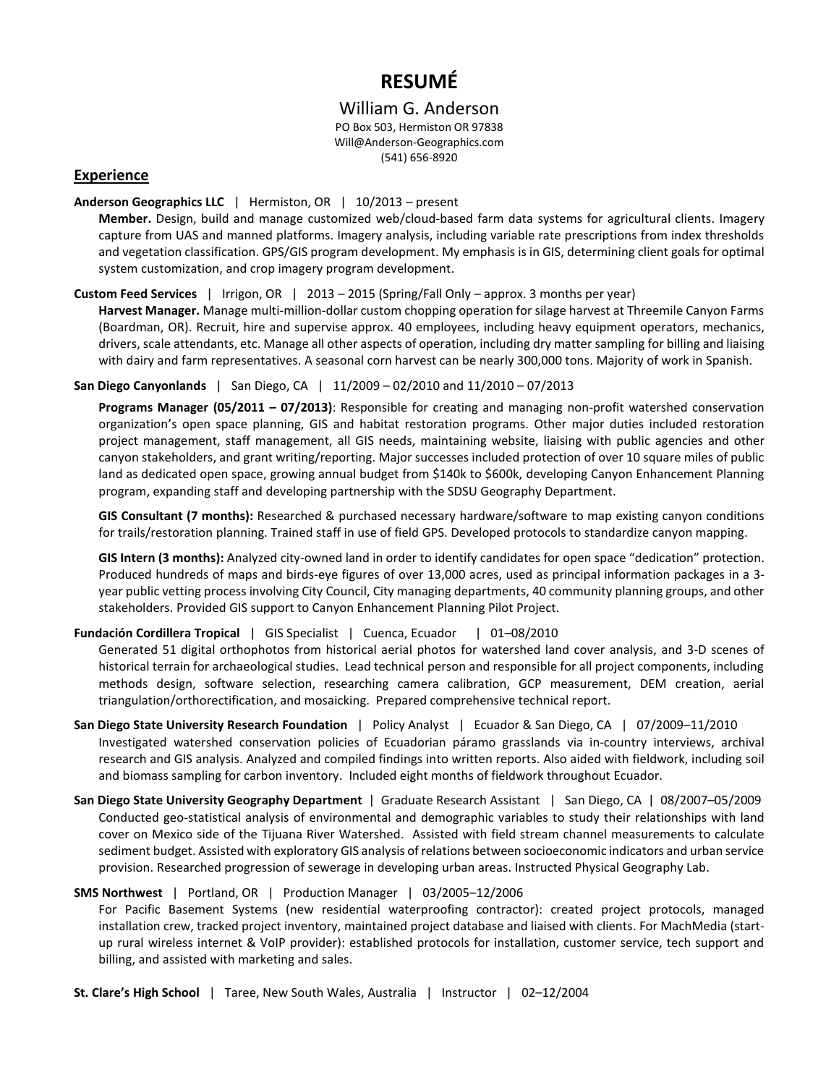# **RESUMÉ**

# William G. Anderson

PO Box 503, Hermiston OR 97838 Will@Anderson-Geographics.com (541) 656-8920

# **Experience**

#### **Anderson Geographics LLC** | Hermiston, OR | 10/2013 – present

**Member.** Design, build and manage customized web/cloud-based farm data systems for agricultural clients. Imagery capture from UAS and manned platforms. Imagery analysis, including variable rate prescriptions from index thresholds and vegetation classification. GPS/GIS program development. My emphasis is in GIS, determining client goals for optimal system customization, and crop imagery program development.

#### **Custom Feed Services** | Irrigon, OR | 2013 – 2015 (Spring/Fall Only – approx. 3 months per year)

**Harvest Manager.** Manage multi-million-dollar custom chopping operation for silage harvest at Threemile Canyon Farms (Boardman, OR). Recruit, hire and supervise approx. 40 employees, including heavy equipment operators, mechanics, drivers, scale attendants, etc. Manage all other aspects of operation, including dry matter sampling for billing and liaising with dairy and farm representatives. A seasonal corn harvest can be nearly 300,000 tons. Majority of work in Spanish.

#### **San Diego Canyonlands** | San Diego, CA | 11/2009 – 02/2010 and 11/2010 – 07/2013

**Programs Manager (05/2011 – 07/2013)**: Responsible for creating and managing non-profit watershed conservation organization's open space planning, GIS and habitat restoration programs. Other major duties included restoration project management, staff management, all GIS needs, maintaining website, liaising with public agencies and other canyon stakeholders, and grant writing/reporting. Major successes included protection of over 10 square miles of public land as dedicated open space, growing annual budget from \$140k to \$600k, developing Canyon Enhancement Planning program, expanding staff and developing partnership with the SDSU Geography Department.

**GIS Consultant (7 months):** Researched & purchased necessary hardware/software to map existing canyon conditions for trails/restoration planning. Trained staff in use of field GPS. Developed protocols to standardize canyon mapping.

**GIS Intern (3 months):** Analyzed city-owned land in order to identify candidates for open space "dedication" protection. Produced hundreds of maps and birds-eye figures of over 13,000 acres, used as principal information packages in a 3 year public vetting process involving City Council, City managing departments, 40 community planning groups, and other stakeholders. Provided GIS support to Canyon Enhancement Planning Pilot Project.

## **Fundación Cordillera Tropical** | GIS Specialist | Cuenca, Ecuador | 01–08/2010

Generated 51 digital orthophotos from historical aerial photos for watershed land cover analysis, and 3-D scenes of historical terrain for archaeological studies. Lead technical person and responsible for all project components, including methods design, software selection, researching camera calibration, GCP measurement, DEM creation, aerial triangulation/orthorectification, and mosaicking. Prepared comprehensive technical report.

- **San Diego State University Research Foundation** | Policy Analyst | Ecuador & San Diego, CA | 07/2009–11/2010 Investigated watershed conservation policies of Ecuadorian páramo grasslands via in-country interviews, archival research and GIS analysis. Analyzed and compiled findings into written reports. Also aided with fieldwork, including soil and biomass sampling for carbon inventory. Included eight months of fieldwork throughout Ecuador.
- **San Diego State University Geography Department** | Graduate Research Assistant | San Diego, CA | 08/2007–05/2009 Conducted geo-statistical analysis of environmental and demographic variables to study their relationships with land cover on Mexico side of the Tijuana River Watershed. Assisted with field stream channel measurements to calculate sediment budget. Assisted with exploratory GIS analysis of relations between socioeconomic indicators and urban service provision. Researched progression of sewerage in developing urban areas. Instructed Physical Geography Lab.

## **SMS Northwest** | Portland, OR| Production Manager | 03/2005–12/2006

For Pacific Basement Systems (new residential waterproofing contractor): created project protocols, managed installation crew, tracked project inventory, maintained project database and liaised with clients. For MachMedia (startup rural wireless internet & VoIP provider): established protocols for installation, customer service, tech support and billing, and assisted with marketing and sales.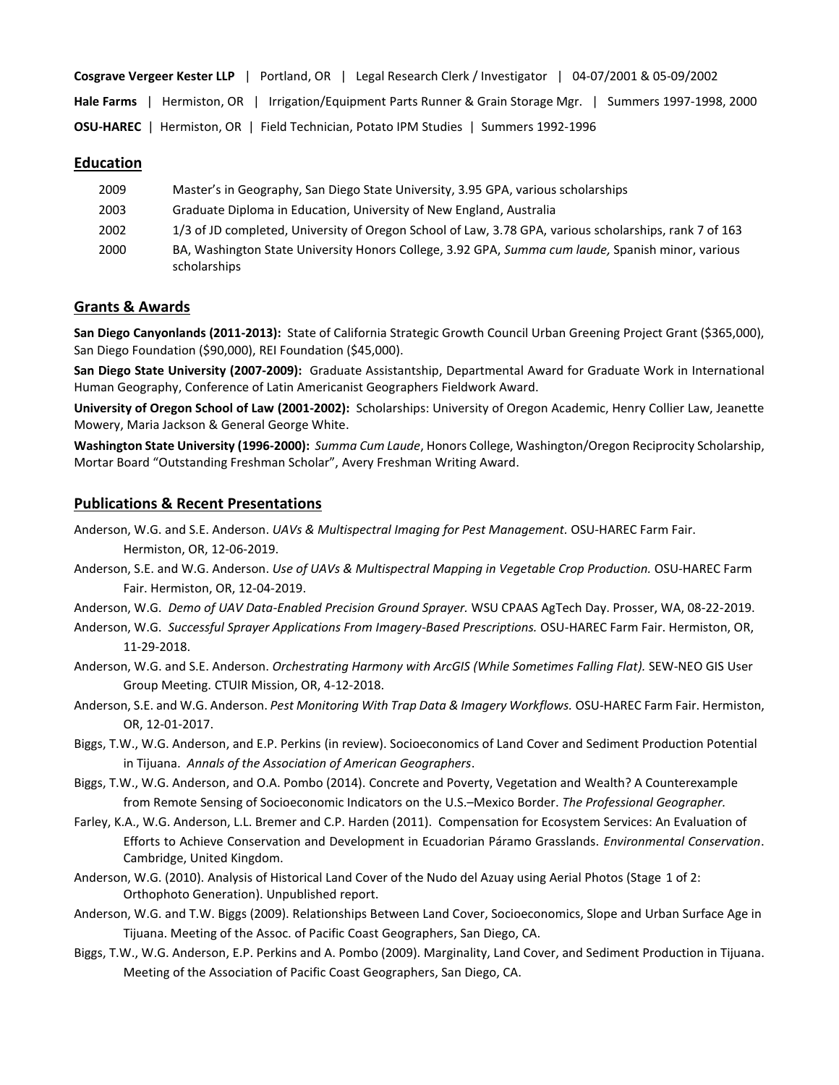| 04-07/2001 & 05-09/2002<br>Legal Research Clerk / Investigator<br>  Portland. OR  <br><b>Cosgrave Vergeer Kester LLP</b> |
|--------------------------------------------------------------------------------------------------------------------------|
| Hermiston, OR   Irrigation/Equipment Parts Runner & Grain Storage Mgr.   Summers 1997-1998, 2000<br><b>Hale Farms</b>    |
| <b>OSU-HAREC</b>   Hermiston, OR   Field Technician, Potato IPM Studies   Summers 1992-1996                              |

#### **Education**

| 2009 | Master's in Geography, San Diego State University, 3.95 GPA, various scholarships                                 |
|------|-------------------------------------------------------------------------------------------------------------------|
| 2003 | Graduate Diploma in Education, University of New England, Australia                                               |
| 2002 | 1/3 of JD completed, University of Oregon School of Law, 3.78 GPA, various scholarships, rank 7 of 163            |
| 2000 | BA, Washington State University Honors College, 3.92 GPA, Summa cum laude, Spanish minor, various<br>scholarships |

## **Grants & Awards**

**San Diego Canyonlands (2011-2013):** State of California Strategic Growth Council Urban Greening Project Grant (\$365,000), San Diego Foundation (\$90,000), REI Foundation (\$45,000).

**San Diego State University (2007-2009):** Graduate Assistantship, Departmental Award for Graduate Work in International Human Geography, Conference of Latin Americanist Geographers Fieldwork Award.

**University of Oregon School of Law (2001-2002):** Scholarships: University of Oregon Academic, Henry Collier Law, Jeanette Mowery, Maria Jackson & General George White.

**Washington State University (1996-2000):** *Summa Cum Laude*, Honors College, Washington/Oregon Reciprocity Scholarship, Mortar Board "Outstanding Freshman Scholar", Avery Freshman Writing Award.

## **Publications & Recent Presentations**

Anderson, W.G. and S.E. Anderson. *UAVs & Multispectral Imaging for Pest Management.* OSU-HAREC Farm Fair. Hermiston, OR, 12-06-2019.

Anderson, S.E. and W.G. Anderson. *Use of UAVs & Multispectral Mapping in Vegetable Crop Production.* OSU-HAREC Farm Fair. Hermiston, OR, 12-04-2019.

Anderson, W.G. *Demo of UAV Data-Enabled Precision Ground Sprayer.* WSU CPAAS AgTech Day. Prosser, WA, 08-22-2019.

- Anderson, W.G. *Successful Sprayer Applications From Imagery-Based Prescriptions.* OSU-HAREC Farm Fair. Hermiston, OR, 11-29-2018.
- Anderson, W.G. and S.E. Anderson. *Orchestrating Harmony with ArcGIS (While Sometimes Falling Flat).* SEW-NEO GIS User Group Meeting. CTUIR Mission, OR, 4-12-2018.
- Anderson, S.E. and W.G. Anderson. *Pest Monitoring With Trap Data & Imagery Workflows.* OSU-HAREC Farm Fair. Hermiston, OR, 12-01-2017.
- Biggs, T.W., W.G. Anderson, and E.P. Perkins (in review). Socioeconomics of Land Cover and Sediment Production Potential in Tijuana. *Annals of the Association of American Geographers*.
- Biggs, T.W., W.G. Anderson, and O.A. Pombo (2014). Concrete and Poverty, Vegetation and Wealth? A Counterexample from Remote Sensing of Socioeconomic Indicators on the U.S.–Mexico Border. *The Professional Geographer.*
- Farley, K.A., W.G. Anderson, L.L. Bremer and C.P. Harden (2011). Compensation for Ecosystem Services: An Evaluation of Efforts to Achieve Conservation and Development in Ecuadorian Páramo Grasslands. *Environmental Conservation*. Cambridge, United Kingdom.
- Anderson, W.G. (2010). Analysis of Historical Land Cover of the Nudo del Azuay using Aerial Photos (Stage 1 of 2: Orthophoto Generation). Unpublished report.
- Anderson, W.G. and T.W. Biggs (2009). Relationships Between Land Cover, Socioeconomics, Slope and Urban Surface Age in Tijuana. Meeting of the Assoc. of Pacific Coast Geographers, San Diego, CA.
- Biggs, T.W., W.G. Anderson, E.P. Perkins and A. Pombo (2009). Marginality, Land Cover, and Sediment Production in Tijuana. Meeting of the Association of Pacific Coast Geographers, San Diego, CA.